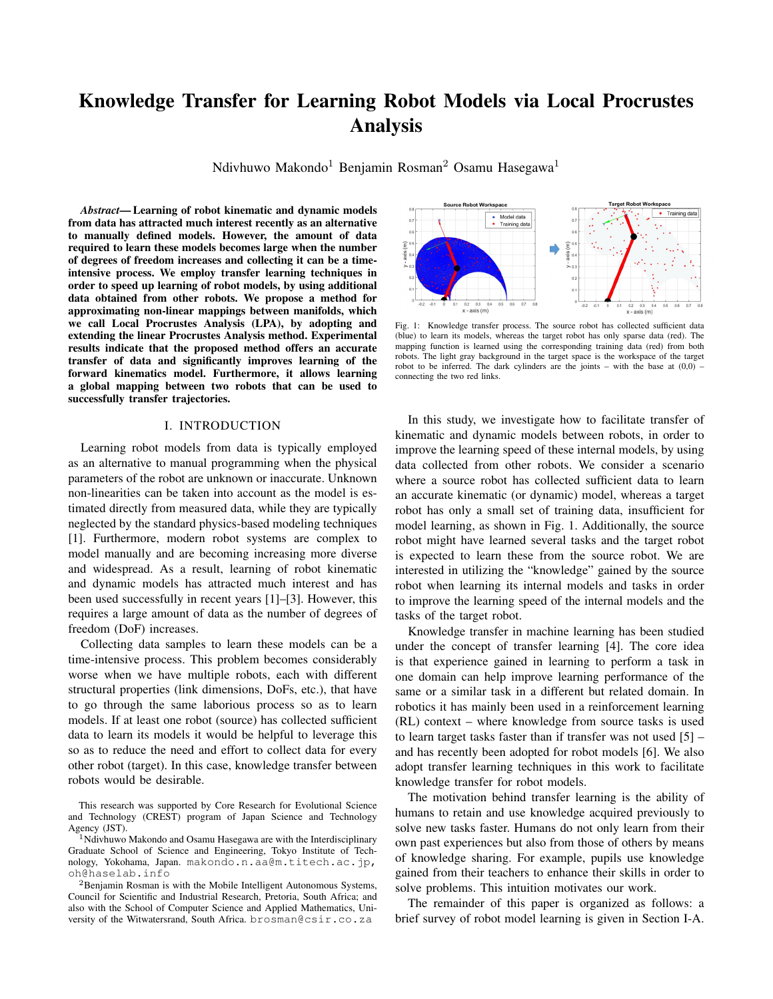# Knowledge Transfer for Learning Robot Models via Local Procrustes Analysis

Ndivhuwo Makondo<sup>1</sup> Benjamin Rosman<sup>2</sup> Osamu Hasegawa<sup>1</sup>

*Abstract*— Learning of robot kinematic and dynamic models from data has attracted much interest recently as an alternative to manually defined models. However, the amount of data required to learn these models becomes large when the number of degrees of freedom increases and collecting it can be a timeintensive process. We employ transfer learning techniques in order to speed up learning of robot models, by using additional data obtained from other robots. We propose a method for approximating non-linear mappings between manifolds, which we call Local Procrustes Analysis (LPA), by adopting and extending the linear Procrustes Analysis method. Experimental results indicate that the proposed method offers an accurate transfer of data and significantly improves learning of the forward kinematics model. Furthermore, it allows learning a global mapping between two robots that can be used to successfully transfer trajectories.

### I. INTRODUCTION

Learning robot models from data is typically employed as an alternative to manual programming when the physical parameters of the robot are unknown or inaccurate. Unknown non-linearities can be taken into account as the model is estimated directly from measured data, while they are typically neglected by the standard physics-based modeling techniques [1]. Furthermore, modern robot systems are complex to model manually and are becoming increasing more diverse and widespread. As a result, learning of robot kinematic and dynamic models has attracted much interest and has been used successfully in recent years [1]–[3]. However, this requires a large amount of data as the number of degrees of freedom (DoF) increases.

Collecting data samples to learn these models can be a time-intensive process. This problem becomes considerably worse when we have multiple robots, each with different structural properties (link dimensions, DoFs, etc.), that have to go through the same laborious process so as to learn models. If at least one robot (source) has collected sufficient data to learn its models it would be helpful to leverage this so as to reduce the need and effort to collect data for every other robot (target). In this case, knowledge transfer between robots would be desirable.



Fig. 1: Knowledge transfer process. The source robot has collected sufficient data (blue) to learn its models, whereas the target robot has only sparse data (red). The mapping function is learned using the corresponding training data (red) from both robots. The light gray background in the target space is the workspace of the target robot to be inferred. The dark cylinders are the joints – with the base at  $(0,0)$  – connecting the two red links.

In this study, we investigate how to facilitate transfer of kinematic and dynamic models between robots, in order to improve the learning speed of these internal models, by using data collected from other robots. We consider a scenario where a source robot has collected sufficient data to learn an accurate kinematic (or dynamic) model, whereas a target robot has only a small set of training data, insufficient for model learning, as shown in Fig. 1. Additionally, the source robot might have learned several tasks and the target robot is expected to learn these from the source robot. We are interested in utilizing the "knowledge" gained by the source robot when learning its internal models and tasks in order to improve the learning speed of the internal models and the tasks of the target robot.

Knowledge transfer in machine learning has been studied under the concept of transfer learning [4]. The core idea is that experience gained in learning to perform a task in one domain can help improve learning performance of the same or a similar task in a different but related domain. In robotics it has mainly been used in a reinforcement learning (RL) context – where knowledge from source tasks is used to learn target tasks faster than if transfer was not used [5] – and has recently been adopted for robot models [6]. We also adopt transfer learning techniques in this work to facilitate knowledge transfer for robot models.

The motivation behind transfer learning is the ability of humans to retain and use knowledge acquired previously to solve new tasks faster. Humans do not only learn from their own past experiences but also from those of others by means of knowledge sharing. For example, pupils use knowledge gained from their teachers to enhance their skills in order to solve problems. This intuition motivates our work.

The remainder of this paper is organized as follows: a brief survey of robot model learning is given in Section I-A.

This research was supported by Core Research for Evolutional Science and Technology (CREST) program of Japan Science and Technology Agency (JST).

<sup>1</sup>Ndivhuwo Makondo and Osamu Hasegawa are with the Interdisciplinary Graduate School of Science and Engineering, Tokyo Institute of Technology, Yokohama, Japan. makondo.n.aa@m.titech.ac.jp, oh@haselab.info

<sup>2</sup>Benjamin Rosman is with the Mobile Intelligent Autonomous Systems, Council for Scientific and Industrial Research, Pretoria, South Africa; and also with the School of Computer Science and Applied Mathematics, University of the Witwatersrand, South Africa. brosman@csir.co.za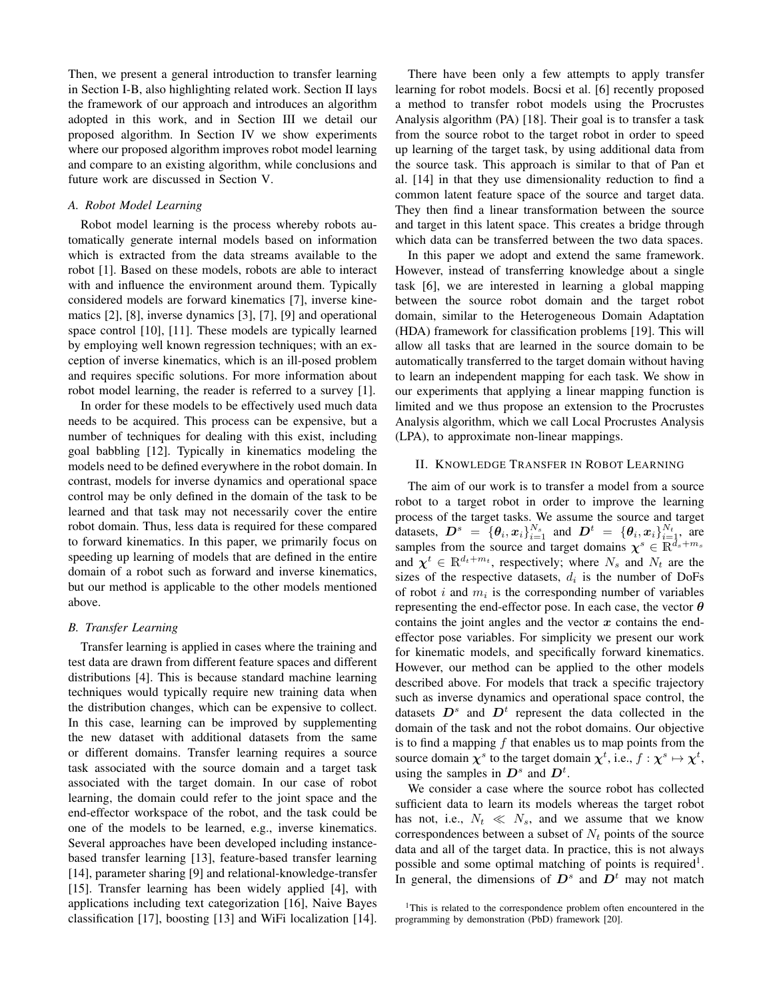Then, we present a general introduction to transfer learning in Section I-B, also highlighting related work. Section II lays the framework of our approach and introduces an algorithm adopted in this work, and in Section III we detail our proposed algorithm. In Section IV we show experiments where our proposed algorithm improves robot model learning and compare to an existing algorithm, while conclusions and future work are discussed in Section V.

#### *A. Robot Model Learning*

Robot model learning is the process whereby robots automatically generate internal models based on information which is extracted from the data streams available to the robot [1]. Based on these models, robots are able to interact with and influence the environment around them. Typically considered models are forward kinematics [7], inverse kinematics [2], [8], inverse dynamics [3], [7], [9] and operational space control [10], [11]. These models are typically learned by employing well known regression techniques; with an exception of inverse kinematics, which is an ill-posed problem and requires specific solutions. For more information about robot model learning, the reader is referred to a survey [1].

In order for these models to be effectively used much data needs to be acquired. This process can be expensive, but a number of techniques for dealing with this exist, including goal babbling [12]. Typically in kinematics modeling the models need to be defined everywhere in the robot domain. In contrast, models for inverse dynamics and operational space control may be only defined in the domain of the task to be learned and that task may not necessarily cover the entire robot domain. Thus, less data is required for these compared to forward kinematics. In this paper, we primarily focus on speeding up learning of models that are defined in the entire domain of a robot such as forward and inverse kinematics, but our method is applicable to the other models mentioned above.

#### *B. Transfer Learning*

Transfer learning is applied in cases where the training and test data are drawn from different feature spaces and different distributions [4]. This is because standard machine learning techniques would typically require new training data when the distribution changes, which can be expensive to collect. In this case, learning can be improved by supplementing the new dataset with additional datasets from the same or different domains. Transfer learning requires a source task associated with the source domain and a target task associated with the target domain. In our case of robot learning, the domain could refer to the joint space and the end-effector workspace of the robot, and the task could be one of the models to be learned, e.g., inverse kinematics. Several approaches have been developed including instancebased transfer learning [13], feature-based transfer learning [14], parameter sharing [9] and relational-knowledge-transfer [15]. Transfer learning has been widely applied [4], with applications including text categorization [16], Naive Bayes classification [17], boosting [13] and WiFi localization [14].

There have been only a few attempts to apply transfer learning for robot models. Bocsi et al. [6] recently proposed a method to transfer robot models using the Procrustes Analysis algorithm (PA) [18]. Their goal is to transfer a task from the source robot to the target robot in order to speed up learning of the target task, by using additional data from the source task. This approach is similar to that of Pan et al. [14] in that they use dimensionality reduction to find a common latent feature space of the source and target data. They then find a linear transformation between the source and target in this latent space. This creates a bridge through which data can be transferred between the two data spaces.

In this paper we adopt and extend the same framework. However, instead of transferring knowledge about a single task [6], we are interested in learning a global mapping between the source robot domain and the target robot domain, similar to the Heterogeneous Domain Adaptation (HDA) framework for classification problems [19]. This will allow all tasks that are learned in the source domain to be automatically transferred to the target domain without having to learn an independent mapping for each task. We show in our experiments that applying a linear mapping function is limited and we thus propose an extension to the Procrustes Analysis algorithm, which we call Local Procrustes Analysis (LPA), to approximate non-linear mappings.

## II. KNOWLEDGE TRANSFER IN ROBOT LEARNING

The aim of our work is to transfer a model from a source robot to a target robot in order to improve the learning process of the target tasks. We assume the source and target datasets,  $D^s = {\theta_i, x_i}_{i=1}^{N_s}$  and  $D^t = {\theta_i, x_i}_{i=1}^{N_t}$ , are samples from the source and target domains  $\chi^s \in \overline{\mathbb{R}}^{\overline{d}_s + m_s}$ and  $\chi^t \in \mathbb{R}^{d_t+m_t}$ , respectively; where  $N_s$  and  $N_t$  are the sizes of the respective datasets,  $d_i$  is the number of DoFs of robot  $i$  and  $m_i$  is the corresponding number of variables representing the end-effector pose. In each case, the vector  $\theta$ contains the joint angles and the vector  $x$  contains the endeffector pose variables. For simplicity we present our work for kinematic models, and specifically forward kinematics. However, our method can be applied to the other models described above. For models that track a specific trajectory such as inverse dynamics and operational space control, the datasets  $D^s$  and  $D^t$  represent the data collected in the domain of the task and not the robot domains. Our objective is to find a mapping  $f$  that enables us to map points from the source domain  $\chi^s$  to the target domain  $\chi^t$ , i.e.,  $f: \chi^s \mapsto \chi^t$ , using the samples in  $D^s$  and  $D^t$ .

We consider a case where the source robot has collected sufficient data to learn its models whereas the target robot has not, i.e.,  $N_t \ll N_s$ , and we assume that we know correspondences between a subset of  $N_t$  points of the source data and all of the target data. In practice, this is not always possible and some optimal matching of points is required<sup>1</sup>. In general, the dimensions of  $D<sup>s</sup>$  and  $D<sup>t</sup>$  may not match

<sup>&</sup>lt;sup>1</sup>This is related to the correspondence problem often encountered in the programming by demonstration (PbD) framework [20].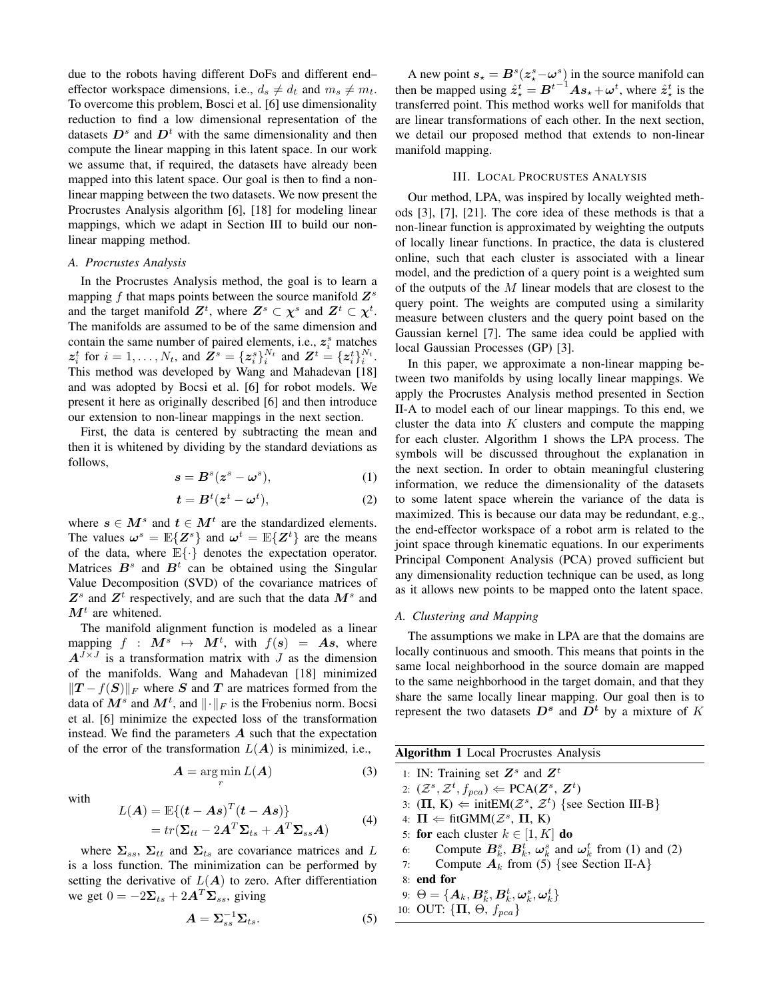due to the robots having different DoFs and different end– effector workspace dimensions, i.e.,  $d_s \neq d_t$  and  $m_s \neq m_t$ . To overcome this problem, Bosci et al. [6] use dimensionality reduction to find a low dimensional representation of the datasets  $D<sup>s</sup>$  and  $D<sup>t</sup>$  with the same dimensionality and then compute the linear mapping in this latent space. In our work we assume that, if required, the datasets have already been mapped into this latent space. Our goal is then to find a nonlinear mapping between the two datasets. We now present the Procrustes Analysis algorithm [6], [18] for modeling linear mappings, which we adapt in Section III to build our nonlinear mapping method.

## *A. Procrustes Analysis*

In the Procrustes Analysis method, the goal is to learn a mapping  $f$  that maps points between the source manifold  $\mathbb{Z}^s$ and the target manifold  $\mathbf{Z}^t$ , where  $\mathbf{Z}^s \subset \boldsymbol{\chi}^s$  and  $\mathbf{Z}^t \subset \boldsymbol{\chi}^t$ . The manifolds are assumed to be of the same dimension and contain the same number of paired elements, i.e.,  $z_i^s$  matches  $z_i^t$  for  $i = 1, ..., N_t$ , and  $\overline{Z}^s = \{z_i^s\}_i^{N_t}$  and  $\overline{Z}^t = \{z_i^t\}_i^{N_t}$ . This method was developed by Wang and Mahadevan [18] and was adopted by Bocsi et al. [6] for robot models. We present it here as originally described [6] and then introduce our extension to non-linear mappings in the next section.

First, the data is centered by subtracting the mean and then it is whitened by dividing by the standard deviations as follows,

$$
s = B^s(z^s - \omega^s), \tag{1}
$$

$$
\boldsymbol{t} = \boldsymbol{B}^t(\boldsymbol{z}^t - \boldsymbol{\omega}^t),\tag{2}
$$

where  $s \in M^s$  and  $t \in M^t$  are the standardized elements. The values  $\boldsymbol{\omega}^s = \mathbb{E}\{\mathbf{Z}^s\}$  and  $\boldsymbol{\omega}^t = \mathbb{E}\{\mathbf{Z}^t\}$  are the means of the data, where  $\mathbb{E}\{\cdot\}$  denotes the expectation operator. Matrices  $B^s$  and  $B^t$  can be obtained using the Singular Value Decomposition (SVD) of the covariance matrices of  $Z^s$  and  $Z^t$  respectively, and are such that the data  $M^s$  and  $M<sup>t</sup>$  are whitened.

The manifold alignment function is modeled as a linear mapping  $f : M^s \mapsto M^t$ , with  $f(s) = As$ , where  $A^{J \times J}$  is a transformation matrix with J as the dimension of the manifolds. Wang and Mahadevan [18] minimized  $||T - f(S)||_F$  where S and T are matrices formed from the data of  $M^s$  and  $M^t$ , and  $\|\cdot\|_F$  is the Frobenius norm. Bocsi et al. [6] minimize the expected loss of the transformation instead. We find the parameters  $A$  such that the expectation of the error of the transformation  $L(A)$  is minimized, i.e.,

$$
A = \underset{r}{\arg\min} L(A) \tag{3}
$$

with

$$
L(\boldsymbol{A}) = \mathbb{E}\{(\boldsymbol{t} - \boldsymbol{A}\boldsymbol{s})^T(\boldsymbol{t} - \boldsymbol{A}\boldsymbol{s})\}
$$
  
=  $tr(\boldsymbol{\Sigma}_{tt} - 2\boldsymbol{A}^T\boldsymbol{\Sigma}_{ts} + \boldsymbol{A}^T\boldsymbol{\Sigma}_{ss}\boldsymbol{A})$  (4)

where  $\Sigma_{ss}$ ,  $\Sigma_{tt}$  and  $\Sigma_{ts}$  are covariance matrices and L is a loss function. The minimization can be performed by setting the derivative of  $L(A)$  to zero. After differentiation we get  $0 = -2\Sigma_{ts} + 2A^T\Sigma_{ss}$ , giving

$$
A = \Sigma_{ss}^{-1} \Sigma_{ts}.
$$
 (5)

A new point  $s_{\star} = B^s(z_{\star}^s - \omega^s)$  in the source manifold can then be mapped using  $\hat{z}_{\star}^t = B^{t-1} A s_{\star} + \omega^t$ , where  $\hat{z}_{\star}^t$  is the transferred point. This method works well for manifolds that are linear transformations of each other. In the next section, we detail our proposed method that extends to non-linear manifold mapping.

## III. LOCAL PROCRUSTES ANALYSIS

Our method, LPA, was inspired by locally weighted methods [3], [7], [21]. The core idea of these methods is that a non-linear function is approximated by weighting the outputs of locally linear functions. In practice, the data is clustered online, such that each cluster is associated with a linear model, and the prediction of a query point is a weighted sum of the outputs of the M linear models that are closest to the query point. The weights are computed using a similarity measure between clusters and the query point based on the Gaussian kernel [7]. The same idea could be applied with local Gaussian Processes (GP) [3].

In this paper, we approximate a non-linear mapping between two manifolds by using locally linear mappings. We apply the Procrustes Analysis method presented in Section II-A to model each of our linear mappings. To this end, we cluster the data into  $K$  clusters and compute the mapping for each cluster. Algorithm 1 shows the LPA process. The symbols will be discussed throughout the explanation in the next section. In order to obtain meaningful clustering information, we reduce the dimensionality of the datasets to some latent space wherein the variance of the data is maximized. This is because our data may be redundant, e.g., the end-effector workspace of a robot arm is related to the joint space through kinematic equations. In our experiments Principal Component Analysis (PCA) proved sufficient but any dimensionality reduction technique can be used, as long as it allows new points to be mapped onto the latent space.

# *A. Clustering and Mapping*

The assumptions we make in LPA are that the domains are locally continuous and smooth. This means that points in the same local neighborhood in the source domain are mapped to the same neighborhood in the target domain, and that they share the same locally linear mapping. Our goal then is to represent the two datasets  $D^s$  and  $D^t$  by a mixture of K

| <b>Algorithm 1</b> Local Procrustes Analysis |  |  |  |  |
|----------------------------------------------|--|--|--|--|
|----------------------------------------------|--|--|--|--|

| 1: IN: Training set $Z^s$ and $Z^t$                                                                                            |
|--------------------------------------------------------------------------------------------------------------------------------|
| 2: $(\mathcal{Z}^s, \mathcal{Z}^t, f_{pca}) \Leftarrow \text{PCA}(\mathbf{Z}^s, \mathbf{Z}^t)$                                 |
| 3: $(\Pi, K) \leftarrow \text{initEM}(\mathcal{Z}^s, \mathcal{Z}^t)$ {see Section III-B}                                       |
| 4: $\Pi \Leftarrow \text{fitGMM}(\mathcal{Z}^s, \Pi, K)$                                                                       |
| 5: for each cluster $k \in [1, K]$ do                                                                                          |
| 6: Compute $B_k^s$ , $B_k^t$ , $\omega_k^s$ and $\omega_k^t$ from (1) and (2)                                                  |
| 7: Compute $A_k$ from (5) {see Section II-A}                                                                                   |
| $8:$ end for                                                                                                                   |
| 9: $\Theta = \{ \boldsymbol{A}_k, \boldsymbol{B}_k^s, \boldsymbol{B}_k^t, \boldsymbol{\omega}_k^s, \boldsymbol{\omega}_k^t \}$ |
| 10: OUT: $\{\Pi, \Theta, f_{pca}\}\$                                                                                           |
|                                                                                                                                |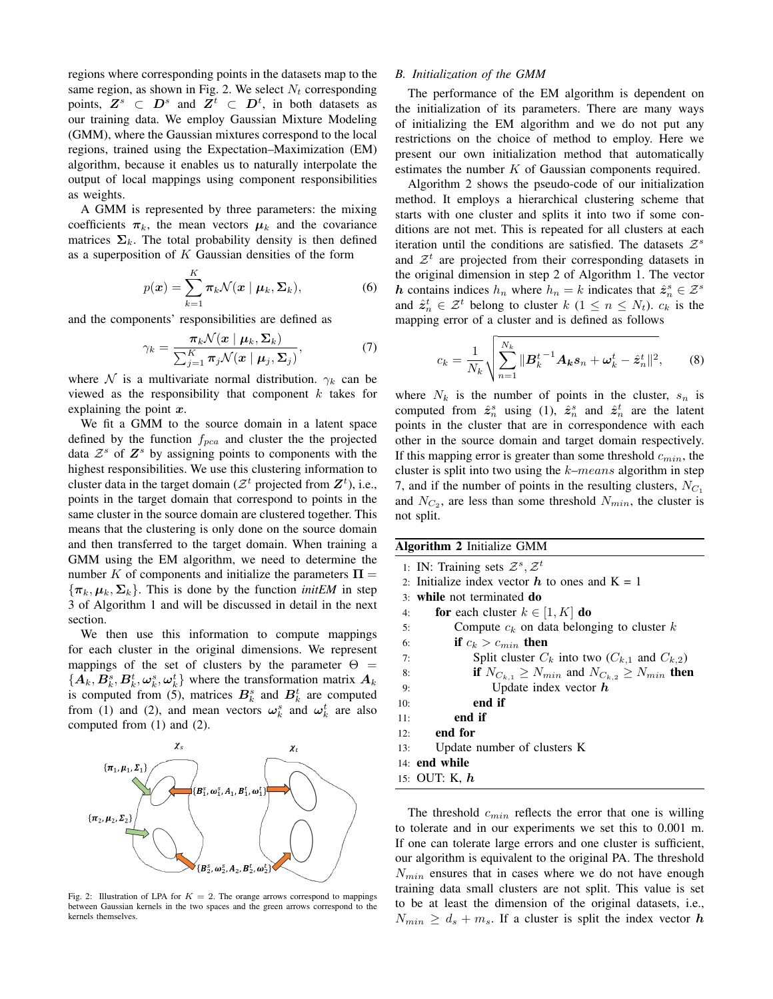regions where corresponding points in the datasets map to the same region, as shown in Fig. 2. We select  $N_t$  corresponding points,  $\mathbf{Z}^s \subset \mathbf{D}^s$  and  $\mathbf{Z}^t \subset \mathbf{D}^t$ , in both datasets as our training data. We employ Gaussian Mixture Modeling (GMM), where the Gaussian mixtures correspond to the local regions, trained using the Expectation–Maximization (EM) algorithm, because it enables us to naturally interpolate the output of local mappings using component responsibilities as weights.

A GMM is represented by three parameters: the mixing coefficients  $\pi_k$ , the mean vectors  $\mu_k$  and the covariance matrices  $\Sigma_k$ . The total probability density is then defined as a superposition of  $K$  Gaussian densities of the form

$$
p(\boldsymbol{x}) = \sum_{k=1}^{K} \boldsymbol{\pi}_k \mathcal{N}(\boldsymbol{x} \mid \boldsymbol{\mu}_k, \boldsymbol{\Sigma}_k),
$$
 (6)

and the components' responsibilities are defined as

$$
\gamma_k = \frac{\pi_k \mathcal{N}(x \mid \boldsymbol{\mu}_k, \boldsymbol{\Sigma}_k)}{\sum_{j=1}^K \pi_j \mathcal{N}(x \mid \boldsymbol{\mu}_j, \boldsymbol{\Sigma}_j)},\tag{7}
$$

where N is a multivariate normal distribution.  $\gamma_k$  can be viewed as the responsibility that component  $k$  takes for explaining the point  $x$ .

We fit a GMM to the source domain in a latent space defined by the function  $f_{pca}$  and cluster the the projected data  $\mathcal{Z}^s$  of  $\mathbf{Z}^s$  by assigning points to components with the highest responsibilities. We use this clustering information to cluster data in the target domain ( $\mathcal{Z}^t$  projected from  $\mathbf{Z}^t$ ), i.e., points in the target domain that correspond to points in the same cluster in the source domain are clustered together. This means that the clustering is only done on the source domain and then transferred to the target domain. When training a GMM using the EM algorithm, we need to determine the number K of components and initialize the parameters  $\Pi$  =  ${\lbrace \pi_k, \mu_k, \Sigma_k \rbrace}$ . This is done by the function *initEM* in step 3 of Algorithm 1 and will be discussed in detail in the next section.

We then use this information to compute mappings for each cluster in the original dimensions. We represent mappings of the set of clusters by the parameter  $\Theta =$  ${A_k, B_k^s, B_k^t, \omega_k^s, \omega_k^t}$  where the transformation matrix  $A_k$ is computed from (5), matrices  $B_k^s$  and  $B_k^t$  are computed from (1) and (2), and mean vectors  $\omega_k^s$  and  $\omega_k^t$  are also computed from (1) and (2).



Fig. 2: Illustration of LPA for  $K = 2$ . The orange arrows correspond to mappings between Gaussian kernels in the two spaces and the green arrows correspond to the kernels themselves.

## *B. Initialization of the GMM*

The performance of the EM algorithm is dependent on the initialization of its parameters. There are many ways of initializing the EM algorithm and we do not put any restrictions on the choice of method to employ. Here we present our own initialization method that automatically estimates the number K of Gaussian components required.

Algorithm 2 shows the pseudo-code of our initialization method. It employs a hierarchical clustering scheme that starts with one cluster and splits it into two if some conditions are not met. This is repeated for all clusters at each iteration until the conditions are satisfied. The datasets  $\mathcal{Z}^s$ and  $\mathcal{Z}^t$  are projected from their corresponding datasets in the original dimension in step 2 of Algorithm 1. The vector *h* contains indices  $h_n$  where  $h_n = k$  indicates that  $\hat{z}_n^s \in \mathcal{Z}^s$ and  $\hat{z}_n^t \in \mathcal{Z}^t$  belong to cluster  $k$   $(1 \leq n \leq N_t)$ .  $c_k$  is the mapping error of a cluster and is defined as follows

$$
c_k = \frac{1}{N_k} \sqrt{\sum_{n=1}^{N_k} ||\mathbf{B}_k^{t-1} \mathbf{A}_k \mathbf{s}_n + \boldsymbol{\omega}_k^t - \hat{\mathbf{z}}_n^t ||^2},
$$
 (8)

where  $N_k$  is the number of points in the cluster,  $s_n$  is computed from  $\hat{z}_n^s$  using (1),  $\hat{z}_n^s$  and  $\hat{z}_n^t$  are the latent points in the cluster that are in correspondence with each other in the source domain and target domain respectively. If this mapping error is greater than some threshold  $c_{min}$ , the cluster is split into two using the  $k$ -means algorithm in step 7, and if the number of points in the resulting clusters,  $N_{C_1}$ and  $N_{C_2}$ , are less than some threshold  $N_{min}$ , the cluster is not split.

Algorithm 2 Initialize GMM 1: IN: Training sets  $\mathcal{Z}^s, \mathcal{Z}^t$ 2: Initialize index vector  $h$  to ones and  $K = 1$ 3: while not terminated do 4: for each cluster  $k \in [1, K]$  do 5: Compute  $c_k$  on data belonging to cluster  $k$ 6: if  $c_k > c_{min}$  then 7: Split cluster  $C_k$  into two  $(C_{k,1}$  and  $C_{k,2})$ 8: **if**  $N_{C_{k,1}} \geq N_{min}$  and  $N_{C_{k,2}} \geq N_{min}$  then 9: Update index vector  $h$ 10: end if 11: end if 12: end for 13: Update number of clusters K 14: end while 15: OUT: K, h

The threshold  $c_{min}$  reflects the error that one is willing to tolerate and in our experiments we set this to 0.001 m. If one can tolerate large errors and one cluster is sufficient, our algorithm is equivalent to the original PA. The threshold  $N_{min}$  ensures that in cases where we do not have enough training data small clusters are not split. This value is set to be at least the dimension of the original datasets, i.e.,  $N_{min} \geq d_s + m_s$ . If a cluster is split the index vector h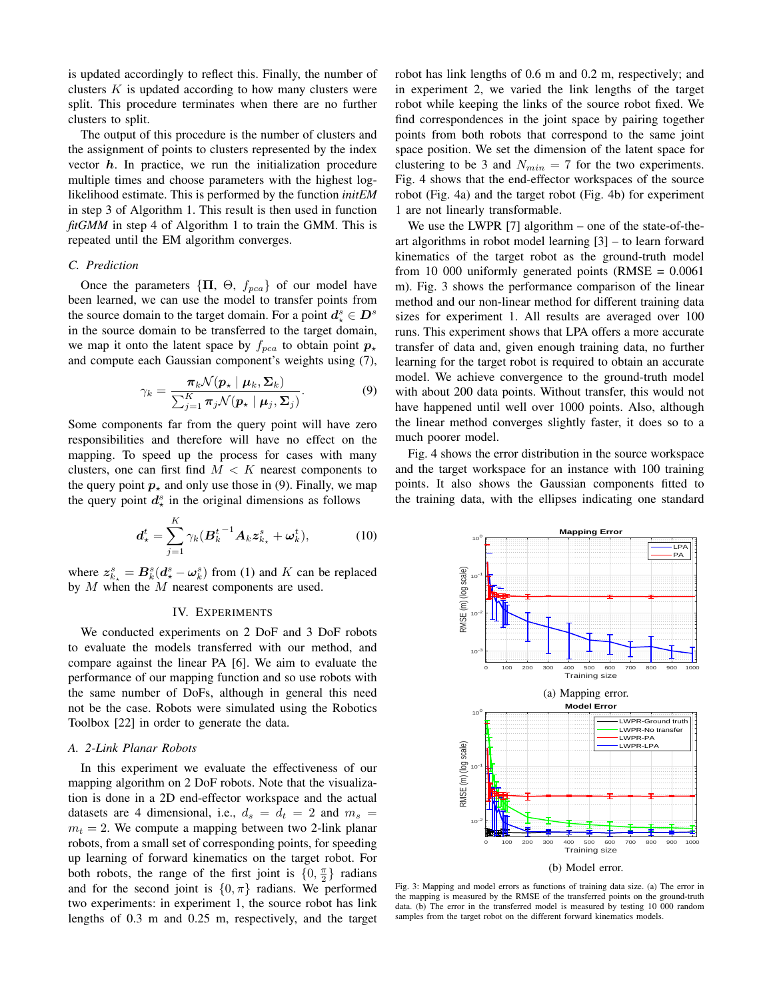is updated accordingly to reflect this. Finally, the number of clusters  $K$  is updated according to how many clusters were split. This procedure terminates when there are no further clusters to split.

The output of this procedure is the number of clusters and the assignment of points to clusters represented by the index vector  $h$ . In practice, we run the initialization procedure multiple times and choose parameters with the highest loglikelihood estimate. This is performed by the function *initEM* in step 3 of Algorithm 1. This result is then used in function *fitGMM* in step 4 of Algorithm 1 to train the GMM. This is repeated until the EM algorithm converges.

#### *C. Prediction*

Once the parameters  $\{\Pi, \Theta, f_{pca}\}$  of our model have been learned, we can use the model to transfer points from the source domain to the target domain. For a point  $d_*^s \in D^s$ in the source domain to be transferred to the target domain, we map it onto the latent space by  $f_{pca}$  to obtain point  $p_{\star}$ and compute each Gaussian component's weights using (7),

$$
\gamma_k = \frac{\pi_k \mathcal{N}(\boldsymbol{p}_\star \mid \boldsymbol{\mu}_k, \boldsymbol{\Sigma}_k)}{\sum_{j=1}^K \pi_j \mathcal{N}(\boldsymbol{p}_\star \mid \boldsymbol{\mu}_j, \boldsymbol{\Sigma}_j)}.
$$
(9)

Some components far from the query point will have zero responsibilities and therefore will have no effect on the mapping. To speed up the process for cases with many clusters, one can first find  $M < K$  nearest components to the query point  $p_{\star}$  and only use those in (9). Finally, we map the query point  $d_{\star}^{s}$  in the original dimensions as follows

$$
\boldsymbol{d}_{\star}^{t} = \sum_{j=1}^{K} \gamma_k (\boldsymbol{B}_{k}^{t-1} \boldsymbol{A}_{k} \boldsymbol{z}_{k_{\star}}^{s} + \boldsymbol{\omega}_{k}^{t}), \qquad (10)
$$

where  $z_{k_{\star}}^{s} = B_{k}^{s} (d_{\star}^{s} - \omega_{k}^{s})$  from (1) and K can be replaced by  $M$  when the  $M$  nearest components are used.

## IV. EXPERIMENTS

We conducted experiments on 2 DoF and 3 DoF robots to evaluate the models transferred with our method, and compare against the linear PA [6]. We aim to evaluate the performance of our mapping function and so use robots with the same number of DoFs, although in general this need not be the case. Robots were simulated using the Robotics Toolbox [22] in order to generate the data.

#### *A. 2-Link Planar Robots*

In this experiment we evaluate the effectiveness of our mapping algorithm on 2 DoF robots. Note that the visualization is done in a 2D end-effector workspace and the actual datasets are 4 dimensional, i.e.,  $d_s = d_t = 2$  and  $m_s =$  $m_t = 2$ . We compute a mapping between two 2-link planar robots, from a small set of corresponding points, for speeding up learning of forward kinematics on the target robot. For both robots, the range of the first joint is  $\{0, \frac{\pi}{2}\}\$  radians and for the second joint is  $\{0, \pi\}$  radians. We performed two experiments: in experiment 1, the source robot has link lengths of 0.3 m and 0.25 m, respectively, and the target robot has link lengths of 0.6 m and 0.2 m, respectively; and in experiment 2, we varied the link lengths of the target robot while keeping the links of the source robot fixed. We find correspondences in the joint space by pairing together points from both robots that correspond to the same joint space position. We set the dimension of the latent space for clustering to be 3 and  $N_{min} = 7$  for the two experiments. Fig. 4 shows that the end-effector workspaces of the source robot (Fig. 4a) and the target robot (Fig. 4b) for experiment 1 are not linearly transformable.

We use the LWPR  $[7]$  algorithm – one of the state-of-theart algorithms in robot model learning [3] – to learn forward kinematics of the target robot as the ground-truth model from 10 000 uniformly generated points (RMSE =  $0.0061$ ) m). Fig. 3 shows the performance comparison of the linear method and our non-linear method for different training data sizes for experiment 1. All results are averaged over 100 runs. This experiment shows that LPA offers a more accurate transfer of data and, given enough training data, no further learning for the target robot is required to obtain an accurate model. We achieve convergence to the ground-truth model with about 200 data points. Without transfer, this would not have happened until well over 1000 points. Also, although the linear method converges slightly faster, it does so to a much poorer model.

Fig. 4 shows the error distribution in the source workspace and the target workspace for an instance with 100 training points. It also shows the Gaussian components fitted to the training data, with the ellipses indicating one standard



Fig. 3: Mapping and model errors as functions of training data size. (a) The error in the mapping is measured by the RMSE of the transferred points on the ground-truth data. (b) The error in the transferred model is measured by testing 10 000 random samples from the target robot on the different forward kinematics models.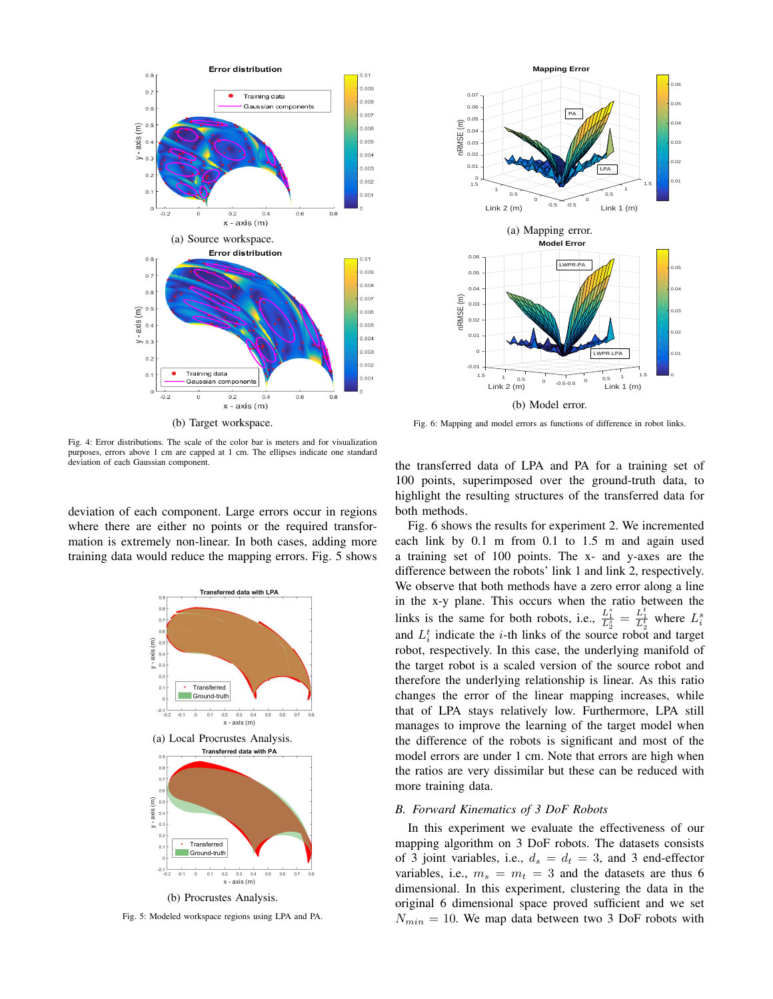

(b) Target workspace.

Fig. 4: Error distributions. The scale of the color bar is meters and for visualization purposes, errors above 1 cm are capped at 1 cm. The ellipses indicate one standard deviation of each Gaussian component.

deviation of each component. Large errors occur in regions where there are either no points or the required transformation is extremely non-linear. In both cases, adding more training data would reduce the mapping errors. Fig. 5 shows





Fig. 6: Mapping and model errors as functions of difference in robot links.

the transferred data of LPA and PA for a training set of 100 points, superimposed over the ground-truth data, to highlight the resulting structures of the transferred data for both methods.

Fig. 5: Modeled workspace regions the state of the material state of the contents of the state of the contents of the contents of the contents of the contents of the contents of the contents of the contents of the content Fig. 6 shows the results for experiment 2. We incremented each link by 0.1 m from 0.1 to 1.5 m and again used a training set of 100 points. The x- and y-axes are the difference between the robots' link 1 and link 2, respectively. We observe that both methods have a zero error along a line in the x-y plane. This occurs when the ratio between the links is the same for both robots, i.e.,  $\frac{L_1^s}{L_2^s} = \frac{L_1^t}{L_2^t}$  where  $L_i^s$ and  $L_i^t$  indicate the *i*-th links of the source robot and target robot, respectively. In this case, the underlying manifold of the target robot is a scaled version of the source robot and therefore the underlying relationship is linear. As this ratio changes the error of the linear mapping increases, while that of LPA stays relatively low. Furthermore, LPA still manages to improve the learning of the target model when the difference of the robots is significant and most of the model errors are under 1 cm. Note that errors are high when the ratios are very dissimilar but these can be reduced with more training data.

#### *B. Forward Kinematics of 3 DoF Robots*

In this experiment we evaluate the effectiveness of our mapping algorithm on 3 DoF robots. The datasets consists of 3 joint variables, i.e.,  $d_s = d_t = 3$ , and 3 end-effector variables, i.e.,  $m_s = m_t = 3$  and the datasets are thus 6 dimensional. In this experiment, clustering the data in the original 6 dimensional space proved sufficient and we set  $N_{min} = 10$ . We map data between two 3 DoF robots with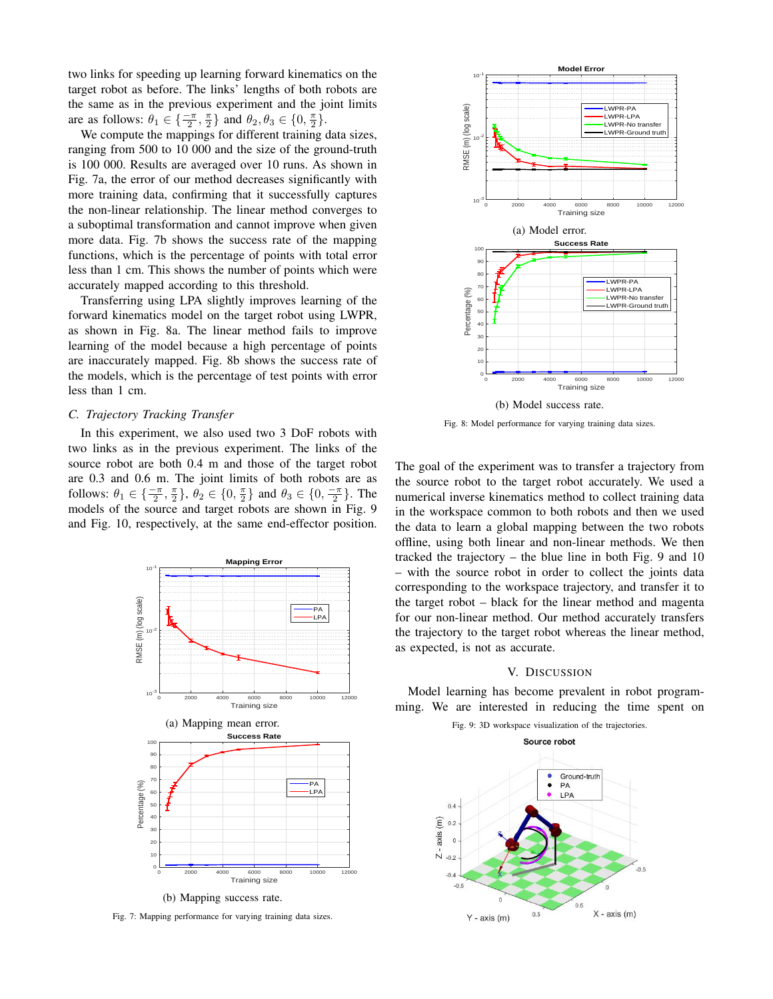two links for speeding up learning forward kinematics on the target robot as before. The links' lengths of both robots are the same as in the previous experiment and the joint limits are as follows:  $\theta_1 \in \left\{ \frac{-\pi}{2}, \frac{\pi}{2} \right\}$  and  $\theta_2, \theta_3 \in \left\{ 0, \frac{\pi}{2} \right\}$ .

We compute the mappings for different training data sizes, ranging from 500 to 10 000 and the size of the ground-truth is 100 000. Results are averaged over 10 runs. As shown in Fig. 7a, the error of our method decreases significantly with more training data, confirming that it successfully captures the non-linear relationship. The linear method converges to a suboptimal transformation and cannot improve when given more data. Fig. 7b shows the success rate of the mapping functions, which is the percentage of points with total error less than 1 cm. This shows the number of points which were accurately mapped according to this threshold.

Transferring using LPA slightly improves learning of the forward kinematics model on the target robot using LWPR, as shown in Fig. 8a. The linear method fails to improve learning of the model because a high percentage of points are inaccurately mapped. Fig. 8b shows the success rate of the models, which is the percentage of test points with error less than 1 cm.

# *C. Trajectory Tracking Transfer*

In this experiment, we also used two 3 DoF robots with two links as in the previous experiment. The links of the source robot are both 0.4 m and those of the target robot are 0.3 and 0.6 m. The joint limits of both robots are as follows:  $\theta_1 \in \{\frac{-\pi}{2}, \frac{\pi}{2}\}, \theta_2 \in \{0, \frac{\pi}{2}\}$  and  $\theta_3 \in \{0, \frac{-\pi}{2}\}.$  The models of the source and target robots are shown in Fig. 9 and Fig. 10, respectively, at the same end-effector position.







Fig. 8: Model performance for varying training data sizes.

The goal of the experiment was to transfer a trajectory from the source robot to the target robot accurately. We used a numerical inverse kinematics method to collect training data in the workspace common to both robots and then we used the data to learn a global mapping between the two robots offline, using both linear and non-linear methods. We then tracked the trajectory – the blue line in both Fig. 9 and 10 – with the source robot in order to collect the joints data corresponding to the workspace trajectory, and transfer it to the target robot – black for the linear method and magenta for our non-linear method. Our method accurately transfers the trajectory to the target robot whereas the linear method, as expected, is not as accurate.

#### V. DISCUSSION

Model learning has become prevalent in robot programming. We are interested in reducing the time spent on